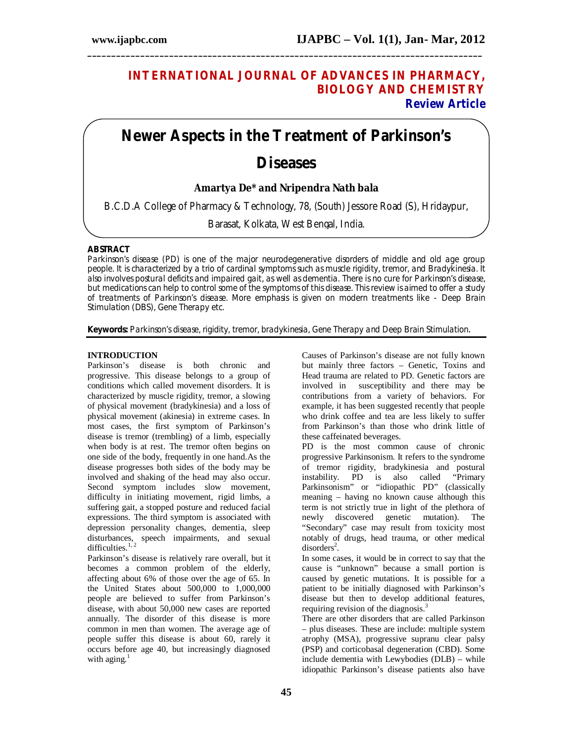# **INTERNATIONAL JOURNAL OF ADVANCES IN PHARMACY, BIOLOGY AND CHEMISTRY Review Article**

# **Newer Aspects in the Treatment of Parkinson's Diseases**

**\_\_\_\_\_\_\_\_\_\_\_\_\_\_\_\_\_\_\_\_\_\_\_\_\_\_\_\_\_\_\_\_\_\_\_\_\_\_\_\_\_\_\_\_\_\_\_\_\_\_\_\_\_\_\_\_\_\_\_\_\_\_\_\_\_\_\_\_\_\_\_\_\_\_\_\_\_\_\_\_\_\_**

# **Amartya De\* and Nripendra Nath bala**

B.C.D.A College of Pharmacy & Technology, 78, (South) Jessore Road (S), Hridaypur,

Barasat, Kolkata, West Bengal, India.

## **ABSTRACT**

Parkinson's disease (PD) is one of the major neurodegenerative disorders of middle and old age group people. It is characterized by a trio of cardinal symptoms such as muscle rigidity, tremor, and Bradykinesia. It also involves postural deficits and impaired gait, as well as dementia. There is no cure for Parkinson's disease, but medications can help to control some of the symptoms of this disease. This review is aimed to offer a study of treatments of Parkinson's disease. More emphasis is given on modern treatments like - Deep Brain Stimulation (DBS), Gene Therapy etc.

**Keywords:** Parkinson's disease, rigidity, tremor, bradykinesia, Gene Therapy and Deep Brain Stimulation.

## **INTRODUCTION**

Parkinson's disease is both chronic and progressive. This disease belongs to a group of conditions which called movement disorders. It is characterized by muscle rigidity, tremor, a slowing of physical movement (bradykinesia) and a loss of physical movement (akinesia) in extreme cases. In most cases, the first symptom of Parkinson's disease is tremor (trembling) of a limb, especially when body is at rest. The tremor often begins on one side of the body, frequently in one hand.As the disease progresses both sides of the body may be involved and shaking of the head may also occur. Second symptom includes slow movement, difficulty in initiating movement, rigid limbs, a suffering gait, a stopped posture and reduced facial expressions. The third symptom is associated with depression personality changes, dementia, sleep disturbances, speech impairments, and sexual difficulties. $1, 2$ 

Parkinson's disease is relatively rare overall, but it becomes a common problem of the elderly, affecting about 6% of those over the age of 65. In the United States about 500,000 to 1,000,000 people are believed to suffer from Parkinson's disease, with about 50,000 new cases are reported annually. The disorder of this disease is more common in men than women. The average age of people suffer this disease is about 60, rarely it occurs before age 40, but increasingly diagnosed with aging. $1$ 

Causes of Parkinson's disease are not fully known but mainly three factors – Genetic, Toxins and Head trauma are related to PD. Genetic factors are involved in susceptibility and there may be contributions from a variety of behaviors. For example, it has been suggested recently that people who drink coffee and tea are less likely to suffer from Parkinson's than those who drink little of these caffeinated beverages.

PD is the most common cause of chronic progressive Parkinsonism. It refers to the syndrome of tremor rigidity, bradykinesia and postural instability. PD is also called "Primary Parkinsonism" or "idiopathic PD" (classically meaning – having no known cause although this term is not strictly true in light of the plethora of newly discovered genetic mutation). The "Secondary" case may result from toxicity most notably of drugs, head trauma, or other medical  $disorders<sup>2</sup>$ .

In some cases, it would be in correct to say that the cause is "unknown" because a small portion is caused by genetic mutations. It is possible for a patient to be initially diagnosed with Parkinson's disease but then to develop additional features, requiring revision of the diagnosis. $3$ 

There are other disorders that are called Parkinson – plus diseases. These are include: multiple system atrophy (MSA), progressive supranu clear palsy (PSP) and corticobasal degeneration (CBD). Some include dementia with Lewybodies (DLB) – while idiopathic Parkinson's disease patients also have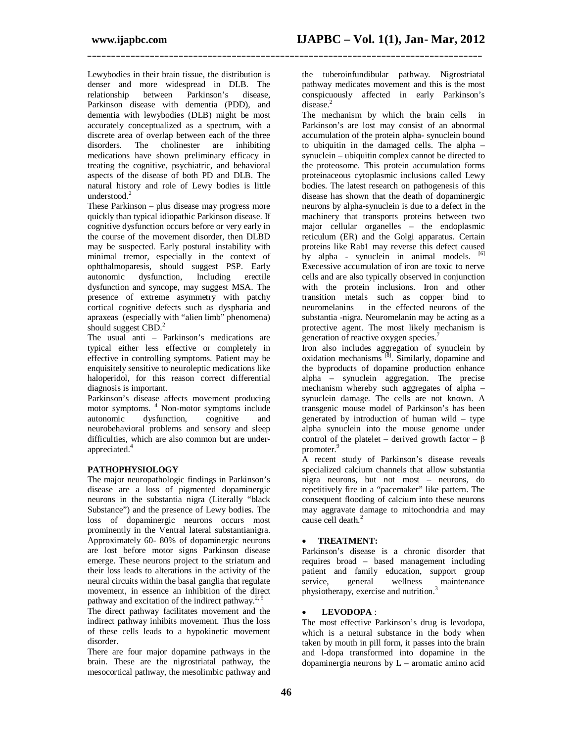**\_\_\_\_\_\_\_\_\_\_\_\_\_\_\_\_\_\_\_\_\_\_\_\_\_\_\_\_\_\_\_\_\_\_\_\_\_\_\_\_\_\_\_\_\_\_\_\_\_\_\_\_\_\_\_\_\_\_\_\_\_\_\_\_\_\_\_\_\_\_\_\_\_\_\_\_\_\_\_\_\_\_**

Lewybodies in their brain tissue, the distribution is denser and more widespread in DLB. The relationship between Parkinson's disease. relationship between Parkinson's disease, Parkinson disease with dementia (PDD), and dementia with lewybodies (DLB) might be most accurately conceptualized as a spectrum, with a discrete area of overlap between each of the three<br>disorders. The cholinester are inhibiting cholinester are inhibiting medications have shown preliminary efficacy in treating the cognitive, psychiatric, and behavioral aspects of the disease of both PD and DLB. The natural history and role of Lewy bodies is little understood.<sup>2</sup>

These Parkinson – plus disease may progress more quickly than typical idiopathic Parkinson disease. If cognitive dysfunction occurs before or very early in the course of the movement disorder, then DLBD may be suspected. Early postural instability with minimal tremor, especially in the context of ophthalmoparesis, should suggest PSP. Early autonomic dysfunction, Including erectile dysfunction and syncope, may suggest MSA. The presence of extreme asymmetry with patchy cortical cognitive defects such as dyspharia and apraxeas (especially with "alien limb" phenomena) should suggest  $CBD$ <sup>2</sup>

The usual anti – Parkinson's medications are typical either less effective or completely in effective in controlling symptoms. Patient may be enquisitely sensitive to neuroleptic medications like haloperidol, for this reason correct differential diagnosis is important.

Parkinson's disease affects movement producing motor symptoms. <sup>4</sup> Non-motor symptoms include autonomic dysfunction, cognitive and neurobehavioral problems and sensory and sleep difficulties, which are also common but are underappreciated.<sup>4</sup>

### **PATHOPHYSIOLOGY**

The major neuropathologic findings in Parkinson's disease are a loss of pigmented dopaminergic neurons in the substantia nigra (Literally "black Substance") and the presence of Lewy bodies. The loss of dopaminergic neurons occurs most prominently in the Ventral lateral substantianigra. Approximately 60- 80% of dopaminergic neurons are lost before motor signs Parkinson disease emerge. These neurons project to the striatum and their loss leads to alterations in the activity of the neural circuits within the basal ganglia that regulate movement, in essence an inhibition of the direct pathway and excitation of the indirect pathway.<sup>2, 5</sup>

The direct pathway facilitates movement and the indirect pathway inhibits movement. Thus the loss of these cells leads to a hypokinetic movement disorder.

There are four major dopamine pathways in the brain. These are the nigrostriatal pathway, the mesocortical pathway, the mesolimbic pathway and

the tuberoinfundibular pathway. Nigrostriatal pathway medicates movement and this is the most conspicuously affected in early Parkinson's disease.<sup>2</sup>

The mechanism by which the brain cells in Parkinson's are lost may consist of an abnormal accumulation of the protein alpha- synuclein bound to ubiquitin in the damaged cells. The alpha – synuclein – ubiquitin complex cannot be directed to the proteosome. This protein accumulation forms proteinaceous cytoplasmic inclusions called Lewy bodies. The latest research on pathogenesis of this disease has shown that the death of dopaminergic neurons by alpha-synuclein is due to a defect in the machinery that transports proteins between two major cellular organelles – the endoplasmic reticulum (ER) and the Golgi apparatus. Certain proteins like Rab1 may reverse this defect caused by alpha - synuclein in animal models. [6] Execessive accumulation of iron are toxic to nerve cells and are also typically observed in conjunction with the protein inclusions. Iron and other transition metals such as copper bind to neuromelanins in the effected neurons of the substantia -nigra. Neuromelanin may be acting as a protective agent. The most likely mechanism is generation of reactive oxygen species.<sup>7</sup>

Iron also includes aggregation of synuclein by oxidation mechanisms  $^{[8]}$ . Similarly, dopamine and the byproducts of dopamine production enhance alpha – synuclein aggregation. The precise mechanism whereby such aggregates of alpha – synuclein damage. The cells are not known. A transgenic mouse model of Parkinson's has been generated by introduction of human wild – type alpha synuclein into the mouse genome under control of the platelet – derived growth factor –  $β$ promoter.<sup>9</sup>

A recent study of Parkinson's disease reveals specialized calcium channels that allow substantia nigra neurons, but not most – neurons, do repetitively fire in a "pacemaker" like pattern. The consequent flooding of calcium into these neurons may aggravate damage to mitochondria and may cause cell death.<sup>2</sup>

#### **TREATMENT:**

Parkinson's disease is a chronic disorder that requires broad – based management including patient and family education, support group<br>service, general wellness maintenance service, general wellness maintenance physiotherapy, exercise and nutrition.<sup>3</sup>

#### **LEVODOPA** :

The most effective Parkinson's drug is levodopa, which is a netural substance in the body when taken by mouth in pill form, it passes into the brain and l-dopa transformed into dopamine in the dopaminergia neurons by L – aromatic amino acid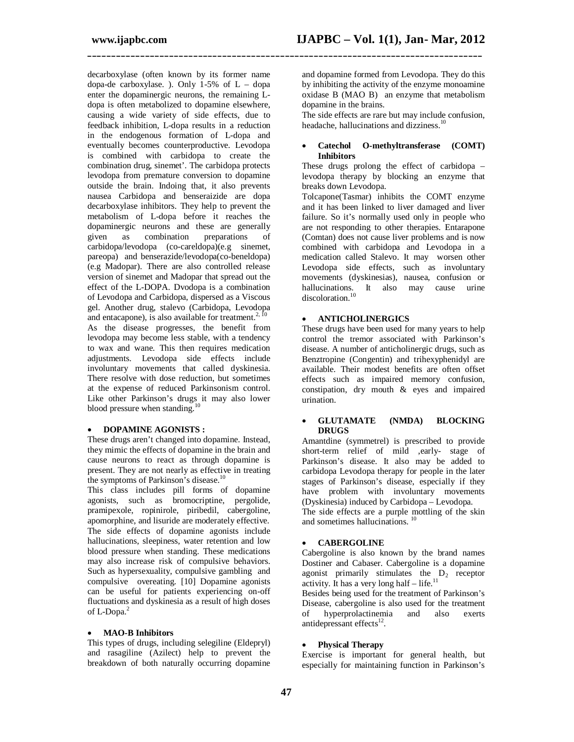**\_\_\_\_\_\_\_\_\_\_\_\_\_\_\_\_\_\_\_\_\_\_\_\_\_\_\_\_\_\_\_\_\_\_\_\_\_\_\_\_\_\_\_\_\_\_\_\_\_\_\_\_\_\_\_\_\_\_\_\_\_\_\_\_\_\_\_\_\_\_\_\_\_\_\_\_\_\_\_\_\_\_**

decarboxylase (often known by its former name dopa-de carboxylase. ). Only  $1-5\%$  of  $L$  – dopa enter the dopaminergic neurons, the remaining Ldopa is often metabolized to dopamine elsewhere, causing a wide variety of side effects, due to feedback inhibition, L-dopa results in a reduction in the endogenous formation of L-dopa and eventually becomes counterproductive. Levodopa is combined with carbidopa to create the combination drug, sinemet'. The carbidopa protects levodopa from premature conversion to dopamine outside the brain. Indoing that, it also prevents nausea Carbidopa and benseraizide are dopa decarboxylase inhibitors. They help to prevent the metabolism of L-dopa before it reaches the dopaminergic neurons and these are generally<br>given as combination preparations of given as combination preparations of carbidopa/levodopa (co-careldopa)(e.g sinemet, pareopa) and benserazide/levodopa(co-beneldopa) (e.g Madopar). There are also controlled release version of sinemet and Madopar that spread out the effect of the L-DOPA. Dvodopa is a combination of Levodopa and Carbidopa, dispersed as a Viscous gel. Another drug, stalevo (Carbidopa, Levodopa and entacapone), is also available for treatment. $2$ As the disease progresses, the benefit from levodopa may become less stable, with a tendency to wax and wane. This then requires medication adjustments. Levodopa side effects include involuntary movements that called dyskinesia. There resolve with dose reduction, but sometimes at the expense of reduced Parkinsonism control. Like other Parkinson's drugs it may also lower blood pressure when standing.<sup>10</sup>

#### **DOPAMINE AGONISTS :**

These drugs aren't changed into dopamine. Instead, they mimic the effects of dopamine in the brain and cause neurons to react as through dopamine is present. They are not nearly as effective in treating the symptoms of Parkinson's disease.<sup>10</sup>

This class includes pill forms of dopamine agonists, such as bromocriptine, pergolide, pramipexole, ropinirole, piribedil, cabergoline, apomorphine, and lisuride are moderately effective. The side effects of dopamine agonists include hallucinations, sleepiness, water retention and low blood pressure when standing. These medications may also increase risk of compulsive behaviors. Such as hypersexuality, compulsive gambling and compulsive overeating. [10] Dopamine agonists can be useful for patients experiencing on-off fluctuations and dyskinesia as a result of high doses of L-Dopa.<sup>2</sup>

#### **MAO-B Inhibitors**

This types of drugs, including selegiline (Eldepryl) and rasagiline (Azilect) help to prevent the breakdown of both naturally occurring dopamine and dopamine formed from Levodopa. They do this by inhibiting the activity of the enzyme monoamine oxidase B (MAO B) an enzyme that metabolism dopamine in the brains.

The side effects are rare but may include confusion, headache, hallucinations and dizziness.<sup>10</sup>

#### **Catechol O-methyltransferase (COMT) Inhibitors**

These drugs prolong the effect of carbidopa – levodopa therapy by blocking an enzyme that breaks down Levodopa.

Tolcapone(Tasmar) inhibits the COMT enzyme and it has been linked to liver damaged and liver failure. So it's normally used only in people who are not responding to other therapies. Entarapone (Comtan) does not cause liver problems and is now combined with carbidopa and Levodopa in a medication called Stalevo. It may worsen other Levodopa side effects, such as involuntary movements (dyskinesias), nausea, confusion or hallucinations. It also may cause urine discoloration.<sup>10</sup>

#### **ANTICHOLINERGICS**

These drugs have been used for many years to help control the tremor associated with Parkinson's disease. A number of anticholinergic drugs, such as Benztropine (Congentin) and trihexyphenidyl are available. Their modest benefits are often offset effects such as impaired memory confusion, constipation, dry mouth & eyes and impaired urination.

#### **GLUTAMATE (NMDA) BLOCKING DRUGS**

Amantdine (symmetrel) is prescribed to provide short-term relief of mild ,early- stage of Parkinson's disease. It also may be added to carbidopa Levodopa therapy for people in the later stages of Parkinson's disease, especially if they have problem with involuntary movements (Dyskinesia) induced by Carbidopa – Levodopa.

The side effects are a purple mottling of the skin and sometimes hallucinations.<sup>10</sup>

#### **CABERGOLINE**

Cabergoline is also known by the brand names Dostiner and Cabaser. Cabergoline is a dopamine agonist primarily stimulates the  $D_2$  receptor activity. It has a very long half  $-$  life.<sup>11</sup>

Besides being used for the treatment of Parkinson's Disease, cabergoline is also used for the treatment<br>of hyperprolactinemia and also exerts hyperprolactinemia antidepressant effects $^{12}$ .

#### **Physical Therapy**

Exercise is important for general health, but especially for maintaining function in Parkinson's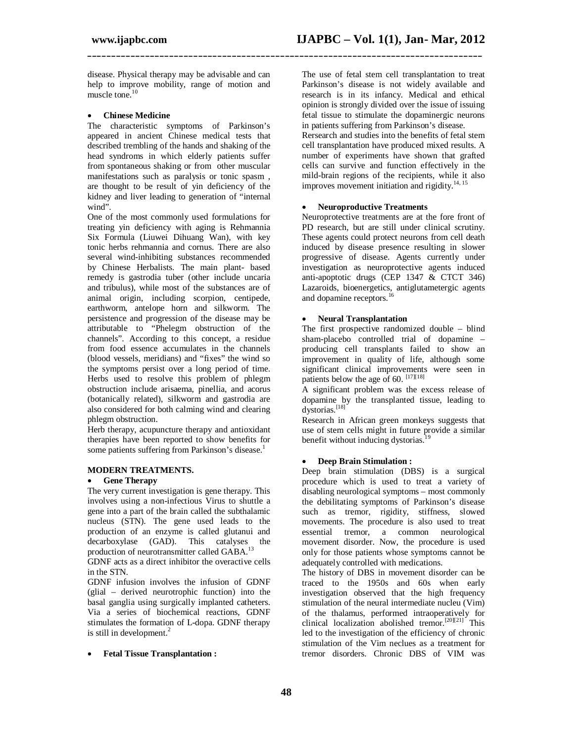disease. Physical therapy may be advisable and can help to improve mobility, range of motion and muscle tone.<sup>10</sup>

#### **Chinese Medicine**

The characteristic symptoms of Parkinson's appeared in ancient Chinese medical tests that described trembling of the hands and shaking of the head syndroms in which elderly patients suffer from spontaneous shaking or from other muscular manifestations such as paralysis or tonic spasm , are thought to be result of yin deficiency of the kidney and liver leading to generation of "internal wind".

One of the most commonly used formulations for treating yin deficiency with aging is Rehmannia Six Formula (Liuwei Dihuang Wan), with key tonic herbs rehmannia and cornus. There are also several wind-inhibiting substances recommended by Chinese Herbalists. The main plant- based remedy is gastrodia tuber (other include uncaria and tribulus), while most of the substances are of animal origin, including scorpion, centipede, earthworm, antelope horn and silkworm. The persistence and progression of the disease may be attributable to "Phelegm obstruction of the channels". According to this concept, a residue from food essence accumulates in the channels (blood vessels, meridians) and "fixes" the wind so the symptoms persist over a long period of time. Herbs used to resolve this problem of phlegm obstruction include arisaema, pinellia, and acorus (botanically related), silkworm and gastrodia are also considered for both calming wind and clearing phlegm obstruction.

Herb therapy, acupuncture therapy and antioxidant therapies have been reported to show benefits for some patients suffering from Parkinson's disease.<sup>1</sup>

#### **MODERN TREATMENTS.**

#### **Gene Therapy**

The very current investigation is gene therapy. This involves using a non-infectious Virus to shuttle a gene into a part of the brain called the subthalamic nucleus (STN). The gene used leads to the production of an enzyme is called glutanui and decarboxylase (GAD). This catalyses the production of neurotransmitter called GABA.<sup>13</sup>

GDNF acts as a direct inhibitor the overactive cells in the STN.

GDNF infusion involves the infusion of GDNF (glial – derived neurotrophic function) into the basal ganglia using surgically implanted catheters. Via a series of biochemical reactions, GDNF stimulates the formation of L-dopa. GDNF therapy is still in development.<sup>2</sup>

#### **Fetal Tissue Transplantation :**

The use of fetal stem cell transplantation to treat Parkinson's disease is not widely available and research is in its infancy. Medical and ethical opinion is strongly divided over the issue of issuing fetal tissue to stimulate the dopaminergic neurons in patients suffering from Parkinson's disease.

Rersearch and studies into the benefits of fetal stem cell transplantation have produced mixed results. A number of experiments have shown that grafted cells can survive and function effectively in the mild-brain regions of the recipients, while it also improves movement initiation and rigidity. $14, 15$ 

#### **Neuroproductive Treatments**

**\_\_\_\_\_\_\_\_\_\_\_\_\_\_\_\_\_\_\_\_\_\_\_\_\_\_\_\_\_\_\_\_\_\_\_\_\_\_\_\_\_\_\_\_\_\_\_\_\_\_\_\_\_\_\_\_\_\_\_\_\_\_\_\_\_\_\_\_\_\_\_\_\_\_\_\_\_\_\_\_\_\_**

Neuroprotective treatments are at the fore front of PD research, but are still under clinical scrutiny. These agents could protect neurons from cell death induced by disease presence resulting in slower progressive of disease. Agents currently under investigation as neuroprotective agents induced anti-apoptotic drugs (CEP 1347 & CTCT 346) Lazaroids, bioenergetics, antiglutametergic agents and dopamine receptors.<sup>1</sup>

#### **Neural Transplantation**

The first prospective randomized double – blind sham-placebo controlled trial of dopamine – producing cell transplants failed to show an improvement in quality of life, although some significant clinical improvements were seen in patients below the age of 60.  $^{[17][18]}$ 

A significant problem was the excess release of dopamine by the transplanted tissue, leading to dystorias.<sup>[18]</sup>

Research in African green monkeys suggests that use of stem cells might in future provide a similar benefit without inducing dystorias.<sup>19</sup>

#### **Deep Brain Stimulation :**

Deep brain stimulation (DBS) is a surgical procedure which is used to treat a variety of disabling neurological symptoms – most commonly the debilitating symptoms of Parkinson's disease such as tremor, rigidity, stiffness, slowed movements. The procedure is also used to treat essential tremor, a common neurological movement disorder. Now, the procedure is used only for those patients whose symptoms cannot be adequately controlled with medications.

The history of DBS in movement disorder can be traced to the 1950s and 60s when early investigation observed that the high frequency stimulation of the neural intermediate nucleu (Vim) of the thalamus, performed intraoperatively for clinical localization abolished tremor.<sup>[20][21]</sup> This led to the investigation of the efficiency of chronic stimulation of the Vim neclues as a treatment for tremor disorders. Chronic DBS of VIM was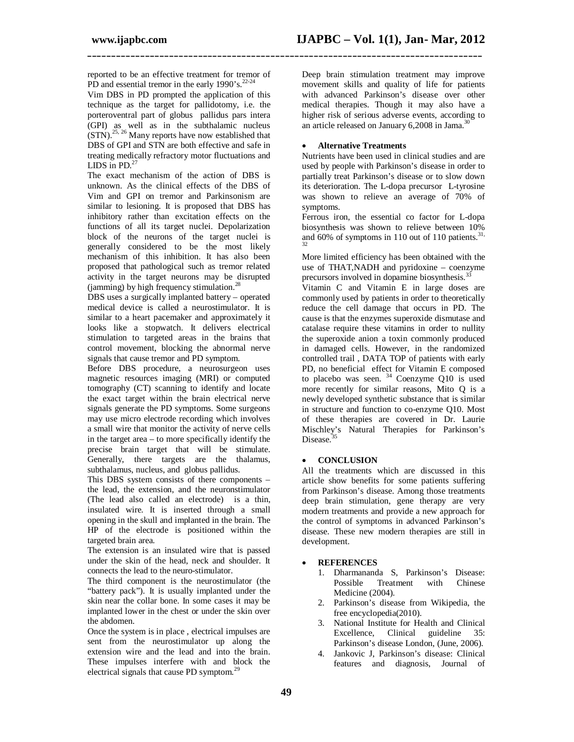reported to be an effective treatment for tremor of PD and essential tremor in the early 1990's.<sup>22-24</sup>

Vim DBS in PD prompted the application of this technique as the target for pallidotomy, i.e. the porteroventral part of globus pallidus pars intera (GPI) as well as in the subthalamic nucleus  $(STN).<sup>25, 26</sup>$  Many reports have now established that DBS of GPI and STN are both effective and safe in treating medically refractory motor fluctuations and LIDS in PD. $27$ 

The exact mechanism of the action of DBS is unknown. As the clinical effects of the DBS of Vim and GPI on tremor and Parkinsonism are similar to lesioning. It is proposed that DBS has inhibitory rather than excitation effects on the functions of all its target nuclei. Depolarization block of the neurons of the target nuclei is generally considered to be the most likely mechanism of this inhibition. It has also been proposed that pathological such as tremor related activity in the target neurons may be disrupted (jamming) by high frequency stimulation.<sup>28</sup>

DBS uses a surgically implanted battery – operated medical device is called a neurostimulator. It is similar to a heart pacemaker and approximately it looks like a stopwatch. It delivers electrical stimulation to targeted areas in the brains that control movement, blocking the abnormal nerve signals that cause tremor and PD symptom.

Before DBS procedure, a neurosurgeon uses magnetic resources imaging (MRI) or computed tomography (CT) scanning to identify and locate the exact target within the brain electrical nerve signals generate the PD symptoms. Some surgeons may use micro electrode recording which involves a small wire that monitor the activity of nerve cells in the target area – to more specifically identify the precise brain target that will be stimulate. Generally, there targets are the thalamus, subthalamus, nucleus, and globus pallidus.

This DBS system consists of there components – the lead, the extension, and the neuronstimulator (The lead also called an electrode) is a thin, insulated wire. It is inserted through a small opening in the skull and implanted in the brain. The HP of the electrode is positioned within the targeted brain area.

The extension is an insulated wire that is passed under the skin of the head, neck and shoulder. It connects the lead to the neuro-stimulator.

The third component is the neurostimulator (the "battery pack"). It is usually implanted under the skin near the collar bone. In some cases it may be implanted lower in the chest or under the skin over the abdomen.

Once the system is in place , electrical impulses are sent from the neurostimulator up along the extension wire and the lead and into the brain. These impulses interfere with and block the electrical signals that cause PD symptom.<sup>29</sup>

Deep brain stimulation treatment may improve movement skills and quality of life for patients with advanced Parkinson's disease over other medical therapies. Though it may also have a higher risk of serious adverse events, according to an article released on January 6,2008 in Jama.<sup>30</sup>

#### **Alternative Treatments**

**\_\_\_\_\_\_\_\_\_\_\_\_\_\_\_\_\_\_\_\_\_\_\_\_\_\_\_\_\_\_\_\_\_\_\_\_\_\_\_\_\_\_\_\_\_\_\_\_\_\_\_\_\_\_\_\_\_\_\_\_\_\_\_\_\_\_\_\_\_\_\_\_\_\_\_\_\_\_\_\_\_\_**

Nutrients have been used in clinical studies and are used by people with Parkinson's disease in order to partially treat Parkinson's disease or to slow down its deterioration. The L-dopa precursor L-tyrosine was shown to relieve an average of 70% of symptoms.

Ferrous iron, the essential co factor for L-dopa biosynthesis was shown to relieve between 10% and 60% of symptoms in 110 out of 110 patients.<sup>31, 32</sup>

More limited efficiency has been obtained with the use of THAT,NADH and pyridoxine – coenzyme precursors involved in dopamine biosynthesis.<sup>3</sup>

Vitamin C and Vitamin E in large doses are commonly used by patients in order to theoretically reduce the cell damage that occurs in PD. The cause is that the enzymes superoxide dismutase and catalase require these vitamins in order to nullity the superoxide anion a toxin commonly produced in damaged cells. However, in the randomized controlled trail , DATA TOP of patients with early PD, no beneficial effect for Vitamin E composed to placebo was seen.  $34$  Coenzyme Q10 is used more recently for similar reasons, Mito Q is a newly developed synthetic substance that is similar in structure and function to co-enzyme Q10. Most of these therapies are covered in Dr. Laurie Mischley's Natural Therapies for Parkinson's Disease.<sup>35</sup>

#### **CONCLUSION**

All the treatments which are discussed in this article show benefits for some patients suffering from Parkinson's disease. Among those treatments deep brain stimulation, gene therapy are very modern treatments and provide a new approach for the control of symptoms in advanced Parkinson's disease. These new modern therapies are still in development.

#### **REFERENCES**

- 1. Dharmananda S, Parkinson's Disease: Possible Treatment with Chinese Medicine (2004).
- 2. Parkinson's disease from Wikipedia, the free encyclopedia(2010).
- 3. National Institute for Health and Clinical Excellence, Clinical guideline 35: Parkinson's disease London, (June, 2006).
- 4. Jankovic J, Parkinson's disease: Clinical features and diagnosis, Journal of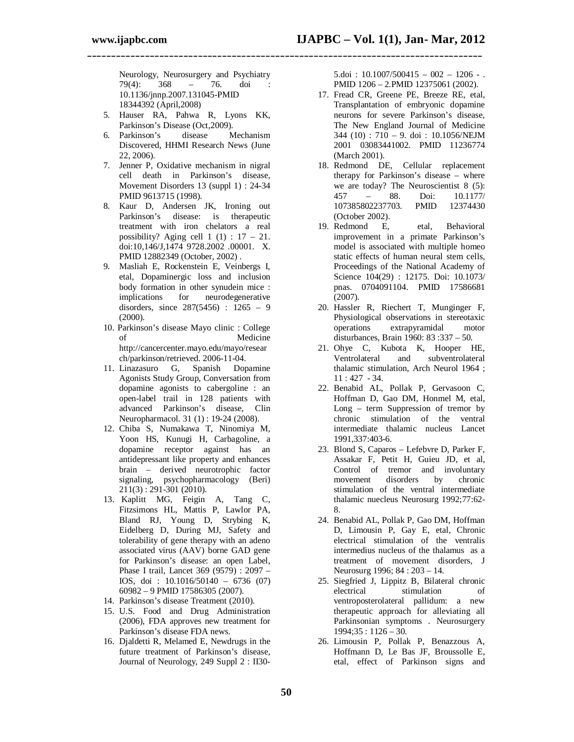Neurology, Neurosurgery and Psychiatry  $79(4)$ :  $368 - 76$ . doi: 79(4): 368 – 76. doi : 10.1136/jnnp.2007.131045-PMID 18344392 (April,2008)

**\_\_\_\_\_\_\_\_\_\_\_\_\_\_\_\_\_\_\_\_\_\_\_\_\_\_\_\_\_\_\_\_\_\_\_\_\_\_\_\_\_\_\_\_\_\_\_\_\_\_\_\_\_\_\_\_\_\_\_\_\_\_\_\_\_\_\_\_\_\_\_\_\_\_\_\_\_\_\_\_\_\_**

- 5. Hauser RA, Pahwa R, Lyons KK, Parkinson's Disease (Oct, 2009).<br>Parkinson's disease M
- 6. Parkinson's disease Mechanism Discovered, HHMI Research News (June 22, 2006).
- 7. Jenner P, Oxidative mechanism in nigral cell death in Parkinson's disease, Movement Disorders 13 (suppl 1) : 24-34 PMID 9613715 (1998).
- 8. Kaur D, Andersen JK, Ironing out Parkinson's disease: is therapeutic treatment with iron chelators a real possibility? Aging cell  $1(1)$ :  $17 - 21$ . doi:10,146/J,1474 9728.2002 .00001. X. PMID 12882349 (October, 2002) .
- 9. Masliah E, Rockenstein E, Veinbergs I, etal, Dopaminergic loss and inclusion body formation in other synudein mice : implications for neurodegenerative disorders, since 287(5456) : 1265 – 9 (2000).
- 10. Parkinson's disease Mayo clinic : College of Medicine http://cancercenter.mayo.edu/mayo/resear ch/parkinson/retrieved. 2006-11-04.
- 11. Linazasuro G, Spanish Dopamine Agonists Study Group, Conversation from dopamine agonists to cabergoline : an open-label trail in 128 patients with advanced Parkinson's disease, Clin Neuropharmacol. 31 (1) : 19-24 (2008).
- 12. Chiba S, Numakawa T, Ninomiya M, Yoon HS, Kunugi H, Carbagoline, a dopamine receptor against has an antidepressant like property and enhances brain – derived neurotrophic factor signaling, psychopharmacology (Beri)  $211(3)$ : 291-301 (2010).
- 13. Kaplitt MG, Feigin A, Tang C, Fitzsimons HL, Mattis P, Lawlor PA, Bland RJ, Young D, Strybing K, Eidelberg D, During MJ, Safety and tolerability of gene therapy with an adeno associated virus (AAV) borne GAD gene for Parkinson's disease: an open Label, Phase I trail, Lancet 369 (9579) : 2097 – IOS, doi : 10.1016/50140 – 6736 (07) 60982 – 9 PMID 17586305 (2007).
- 14. Parkinson's disease Treatment (2010).
- 15. U.S. Food and Drug Administration (2006), FDA approves new treatment for Parkinson's disease FDA news.
- 16. Djaldetti R, Melamed E, Newdrugs in the future treatment of Parkinson's disease, Journal of Neurology, 249 Suppl 2 : II30-

 $5.00i : 10.1007/500415 - 002 - 1206 -$ PMID 1206 – 2.PMID 12375061 (2002).

- 17. Fread CR, Greene PE, Breeze RE, etal, Transplantation of embryonic dopamine neurons for severe Parkinson's disease, The New England Journal of Medicine 344 (10) : 710 – 9. doi : 10.1056/NEJM 2001 03083441002. PMID 11236774 (March 2001).
- 18. Redmond DE, Cellular replacement therapy for Parkinson's disease – where we are today? The Neuroscientist 8 (5): 457 – 88. Doi: 10.1177/ 107385802237703. (October 2002).
- 19. Redmond E, etal, Behavioral improvement in a primate Parkinson's model is associated with multiple homeo static effects of human neural stem cells, Proceedings of the National Academy of Science 104(29) : 12175. Doi: 10.1073/ pnas. 0704091104. PMID 17586681 (2007).
- 20. Hassler R, Riechert T, Munginger F, Physiological observations in stereotaxic operations extrapyramidal motor disturbances, Brain 1960: 83 :337 – 50.
- 21. Ohye C, Kubota K, Hooper HE, Ventrolateral and subventrolateral thalamic stimulation, Arch Neurol 1964 ; 11 : 427 - 34.
- 22. Benabid AL, Pollak P, Gervasoon C, Hoffman D, Gao DM, Honmel M, etal, Long – term Suppression of tremor by chronic stimulation of the ventral intermediate thalamic nucleus Lancet 1991,337:403-6.
- 23. Blond S, Caparos Lefebvre D, Parker F, Assakar F, Petit H, Guieu JD, et al, Control of tremor and involuntary<br>movement disorders by chronic movement disorders by chronic stimulation of the ventral intermediate thalamic nuecleus Neurosurg 1992;77:62- 8.
- 24. Benabid AL, Pollak P, Gao DM, Hoffman D, Limousin P, Gay E, etal, Chronic electrical stimulation of the ventralis intermedius nucleus of the thalamus as a treatment of movement disorders, J Neurosurg 1996; 84 : 203 – 14.
- 25. Siegfried J, Lippitz B, Bilateral chronic electrical stimulation of ventroposterolateral pallidum: a new therapeutic approach for alleviating all Parkinsonian symptoms . Neurosurgery  $1994:35:1126-30.$
- 26. Limousin P, Pollak P, Benazzous A, Hoffmann D, Le Bas JF, Broussolle E, etal, effect of Parkinson signs and